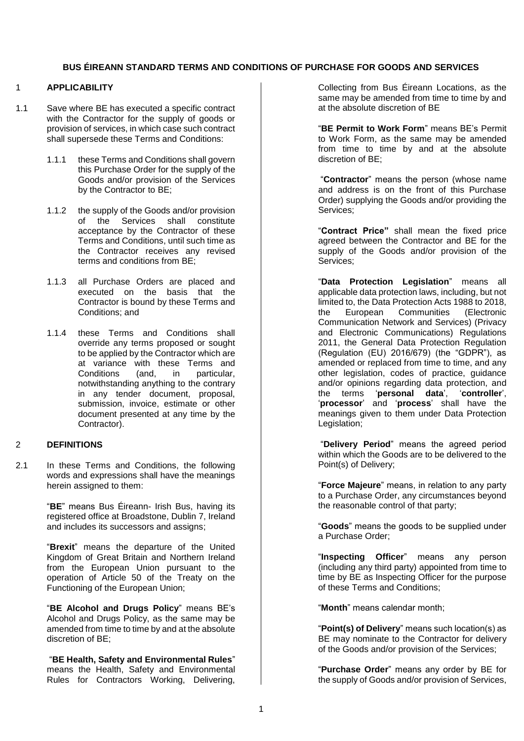#### 1 **APPLICABILITY**

- 1.1 Save where BE has executed a specific contract with the Contractor for the supply of goods or provision of services, in which case such contract shall supersede these Terms and Conditions:
	- 1.1.1 these Terms and Conditions shall govern this Purchase Order for the supply of the Goods and/or provision of the Services by the Contractor to BE:
	- 1.1.2 the supply of the Goods and/or provision of the Services shall constitute acceptance by the Contractor of these Terms and Conditions, until such time as the Contractor receives any revised terms and conditions from BE;
	- 1.1.3 all Purchase Orders are placed and executed on the basis that the Contractor is bound by these Terms and Conditions; and
	- 1.1.4 these Terms and Conditions shall override any terms proposed or sought to be applied by the Contractor which are at variance with these Terms and Conditions (and, in particular, notwithstanding anything to the contrary in any tender document, proposal, submission, invoice, estimate or other document presented at any time by the Contractor).

#### 2 **DEFINITIONS**

2.1 In these Terms and Conditions, the following words and expressions shall have the meanings herein assigned to them:

> "**BE**" means Bus Éireann- Irish Bus, having its registered office at Broadstone, Dublin 7, Ireland and includes its successors and assigns;

> "**Brexit**" means the departure of the United Kingdom of Great Britain and Northern Ireland from the European Union pursuant to the operation of Article 50 of the Treaty on the Functioning of the European Union;

> "**BE Alcohol and Drugs Policy**" means BE's Alcohol and Drugs Policy, as the same may be amended from time to time by and at the absolute discretion of BE;

> "**BE Health, Safety and Environmental Rules**" means the Health, Safety and Environmental Rules for Contractors Working, Delivering,

Collecting from Bus Éireann Locations, as the same may be amended from time to time by and at the absolute discretion of BE

"**BE Permit to Work Form**" means BE's Permit to Work Form, as the same may be amended from time to time by and at the absolute discretion of BE;

"**Contractor**" means the person (whose name and address is on the front of this Purchase Order) supplying the Goods and/or providing the Services;

"**Contract Price"** shall mean the fixed price agreed between the Contractor and BE for the supply of the Goods and/or provision of the Services;

"**Data Protection Legislation**" means all applicable data protection laws, including, but not limited to, the Data Protection Acts 1988 to 2018,<br>the European Communities (Electronic **Communities** Communication Network and Services) (Privacy and Electronic Communications) Regulations 2011, the General Data Protection Regulation (Regulation (EU) 2016/679) (the "GDPR"), as amended or replaced from time to time, and any other legislation, codes of practice, guidance and/or opinions regarding data protection, and the terms '**personal data**', '**controller**', '**processor**' and '**process**' shall have the meanings given to them under Data Protection Legislation;

"**Delivery Period**" means the agreed period within which the Goods are to be delivered to the Point(s) of Delivery;

"**Force Majeure**" means, in relation to any party to a Purchase Order, any circumstances beyond the reasonable control of that party;

"**Goods**" means the goods to be supplied under a Purchase Order;

"**Inspecting Officer**" means any person (including any third party) appointed from time to time by BE as Inspecting Officer for the purpose of these Terms and Conditions;

"**Month**" means calendar month;

"**Point(s) of Delivery**" means such location(s) as BE may nominate to the Contractor for delivery of the Goods and/or provision of the Services;

"**Purchase Order**" means any order by BE for the supply of Goods and/or provision of Services,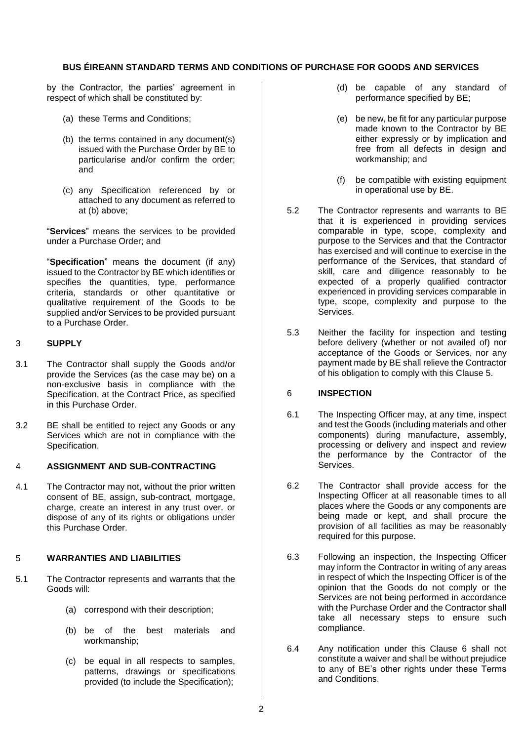by the Contractor, the parties' agreement in respect of which shall be constituted by:

- (a) these Terms and Conditions;
- (b) the terms contained in any document(s) issued with the Purchase Order by BE to particularise and/or confirm the order; and
- (c) any Specification referenced by or attached to any document as referred to at (b) above;

"**Services**" means the services to be provided under a Purchase Order; and

"**Specification**" means the document (if any) issued to the Contractor by BE which identifies or specifies the quantities, type, performance criteria, standards or other quantitative or qualitative requirement of the Goods to be supplied and/or Services to be provided pursuant to a Purchase Order.

### 3 **SUPPLY**

- 3.1 The Contractor shall supply the Goods and/or provide the Services (as the case may be) on a non-exclusive basis in compliance with the Specification, at the Contract Price, as specified in this Purchase Order.
- 3.2 BE shall be entitled to reject any Goods or any Services which are not in compliance with the Specification.

### 4 **ASSIGNMENT AND SUB-CONTRACTING**

4.1 The Contractor may not, without the prior written consent of BE, assign, sub-contract, mortgage, charge, create an interest in any trust over, or dispose of any of its rights or obligations under this Purchase Order.

### 5 **WARRANTIES AND LIABILITIES**

- 5.1 The Contractor represents and warrants that the Goods will:
	- (a) correspond with their description;
	- (b) be of the best materials and workmanship;
	- (c) be equal in all respects to samples, patterns, drawings or specifications provided (to include the Specification);
- (d) be capable of any standard of performance specified by BE;
- (e) be new, be fit for any particular purpose made known to the Contractor by BE either expressly or by implication and free from all defects in design and workmanship; and
- (f) be compatible with existing equipment in operational use by BE.
- 5.2 The Contractor represents and warrants to BE that it is experienced in providing services comparable in type, scope, complexity and purpose to the Services and that the Contractor has exercised and will continue to exercise in the performance of the Services, that standard of skill, care and diligence reasonably to be expected of a properly qualified contractor experienced in providing services comparable in type, scope, complexity and purpose to the Services.
- 5.3 Neither the facility for inspection and testing before delivery (whether or not availed of) nor acceptance of the Goods or Services, nor any payment made by BE shall relieve the Contractor of his obligation to comply with this Clause 5.

### 6 **INSPECTION**

- 6.1 The Inspecting Officer may, at any time, inspect and test the Goods (including materials and other components) during manufacture, assembly, processing or delivery and inspect and review the performance by the Contractor of the Services.
- 6.2 The Contractor shall provide access for the Inspecting Officer at all reasonable times to all places where the Goods or any components are being made or kept, and shall procure the provision of all facilities as may be reasonably required for this purpose.
- 6.3 Following an inspection, the Inspecting Officer may inform the Contractor in writing of any areas in respect of which the Inspecting Officer is of the opinion that the Goods do not comply or the Services are not being performed in accordance with the Purchase Order and the Contractor shall take all necessary steps to ensure such compliance.
- 6.4 Any notification under this Clause 6 shall not constitute a waiver and shall be without prejudice to any of BE's other rights under these Terms and Conditions.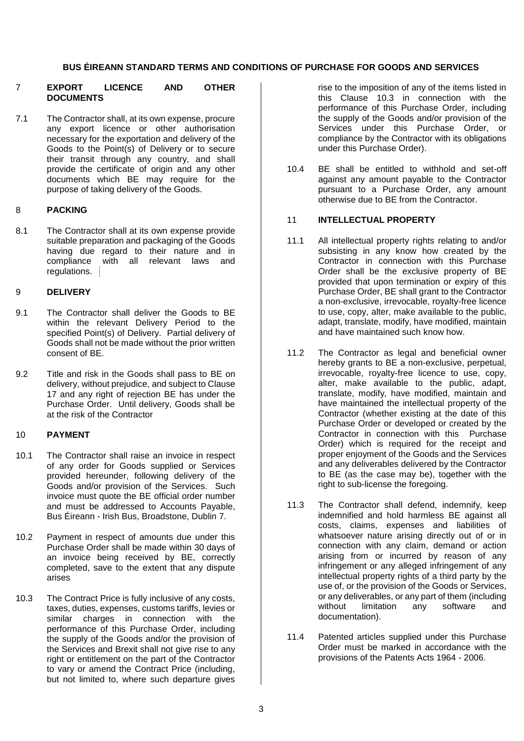#### 7 **EXPORT LICENCE AND OTHER DOCUMENTS**

7.1 The Contractor shall, at its own expense, procure any export licence or other authorisation necessary for the exportation and delivery of the Goods to the Point(s) of Delivery or to secure their transit through any country, and shall provide the certificate of origin and any other documents which BE may require for the purpose of taking delivery of the Goods.

### 8 **PACKING**

8.1 The Contractor shall at its own expense provide suitable preparation and packaging of the Goods having due regard to their nature and in compliance with all relevant laws and regulations.

### 9 **DELIVERY**

- 9.1 The Contractor shall deliver the Goods to BE within the relevant Delivery Period to the specified Point(s) of Delivery. Partial delivery of Goods shall not be made without the prior written consent of BE.
- 9.2 Title and risk in the Goods shall pass to BE on delivery, without prejudice, and subject to Clause 17 and any right of rejection BE has under the Purchase Order. Until delivery, Goods shall be at the risk of the Contractor

### 10 **PAYMENT**

- 10.1 The Contractor shall raise an invoice in respect of any order for Goods supplied or Services provided hereunder, following delivery of the Goods and/or provision of the Services. Such invoice must quote the BE official order number and must be addressed to Accounts Payable, Bus Éireann - Irish Bus, Broadstone, Dublin 7.
- 10.2 Payment in respect of amounts due under this Purchase Order shall be made within 30 days of an invoice being received by BE, correctly completed, save to the extent that any dispute arises
- 10.3 The Contract Price is fully inclusive of any costs, taxes, duties, expenses, customs tariffs, levies or similar charges in connection with the performance of this Purchase Order, including the supply of the Goods and/or the provision of the Services and Brexit shall not give rise to any right or entitlement on the part of the Contractor to vary or amend the Contract Price (including, but not limited to, where such departure gives

rise to the imposition of any of the items listed in this Clause 10.3 in connection with the performance of this Purchase Order, including the supply of the Goods and/or provision of the Services under this Purchase Order, or compliance by the Contractor with its obligations under this Purchase Order).

10.4 BE shall be entitled to withhold and set-off against any amount payable to the Contractor pursuant to a Purchase Order, any amount otherwise due to BE from the Contractor.

#### 11 **INTELLECTUAL PROPERTY**

- 11.1 All intellectual property rights relating to and/or subsisting in any know how created by the Contractor in connection with this Purchase Order shall be the exclusive property of BE provided that upon termination or expiry of this Purchase Order, BE shall grant to the Contractor a non-exclusive, irrevocable, royalty-free licence to use, copy, alter, make available to the public, adapt, translate, modify, have modified, maintain and have maintained such know how.
- 11.2 The Contractor as legal and beneficial owner hereby grants to BE a non-exclusive, perpetual, irrevocable, royalty-free licence to use, copy, alter, make available to the public, adapt, translate, modify, have modified, maintain and have maintained the intellectual property of the Contractor (whether existing at the date of this Purchase Order or developed or created by the Contractor in connection with this Purchase Order) which is required for the receipt and proper enjoyment of the Goods and the Services and any deliverables delivered by the Contractor to BE (as the case may be), together with the right to sub-license the foregoing.
- 11.3 The Contractor shall defend, indemnify, keep indemnified and hold harmless BE against all costs, claims, expenses and liabilities of whatsoever nature arising directly out of or in connection with any claim, demand or action arising from or incurred by reason of any infringement or any alleged infringement of any intellectual property rights of a third party by the use of, or the provision of the Goods or Services, or any deliverables, or any part of them (including without limitation any software and documentation).
- 11.4 Patented articles supplied under this Purchase Order must be marked in accordance with the provisions of the Patents Acts 1964 - 2006.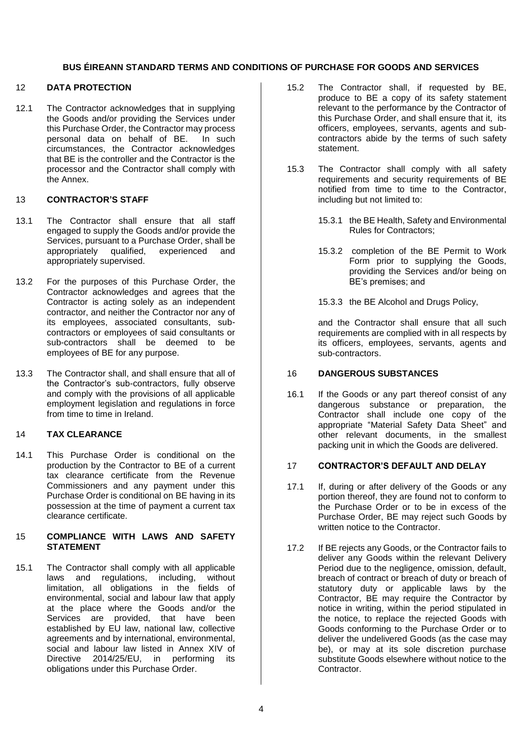## 12 **DATA PROTECTION**

12.1 The Contractor acknowledges that in supplying the Goods and/or providing the Services under this Purchase Order, the Contractor may process personal data on behalf of BE. In such circumstances, the Contractor acknowledges that BE is the controller and the Contractor is the processor and the Contractor shall comply with the Annex.

### 13 **CONTRACTOR'S STAFF**

- 13.1 The Contractor shall ensure that all staff engaged to supply the Goods and/or provide the Services, pursuant to a Purchase Order, shall be appropriately qualified, experienced and appropriately supervised.
- 13.2 For the purposes of this Purchase Order, the Contractor acknowledges and agrees that the Contractor is acting solely as an independent contractor, and neither the Contractor nor any of its employees, associated consultants, subcontractors or employees of said consultants or sub-contractors shall be deemed to be employees of BE for any purpose.
- 13.3 The Contractor shall, and shall ensure that all of the Contractor's sub-contractors, fully observe and comply with the provisions of all applicable employment legislation and regulations in force from time to time in Ireland.

## 14 **TAX CLEARANCE**

14.1 This Purchase Order is conditional on the production by the Contractor to BE of a current tax clearance certificate from the Revenue Commissioners and any payment under this Purchase Order is conditional on BE having in its possession at the time of payment a current tax clearance certificate.

### 15 **COMPLIANCE WITH LAWS AND SAFETY STATEMENT**

15.1 The Contractor shall comply with all applicable laws and regulations, including, without limitation, all obligations in the fields of environmental, social and labour law that apply at the place where the Goods and/or the Services are provided, that have been established by EU law, national law, collective agreements and by international, environmental, social and labour law listed in Annex XIV of Directive 2014/25/EU, in performing its obligations under this Purchase Order.

- 15.2 The Contractor shall, if requested by BE, produce to BE a copy of its safety statement relevant to the performance by the Contractor of this Purchase Order, and shall ensure that it, its officers, employees, servants, agents and subcontractors abide by the terms of such safety statement.
- 15.3 The Contractor shall comply with all safety requirements and security requirements of BE notified from time to time to the Contractor, including but not limited to:
	- 15.3.1 the BE Health, Safety and Environmental Rules for Contractors;
	- 15.3.2 completion of the BE Permit to Work Form prior to supplying the Goods, providing the Services and/or being on BE's premises; and
	- 15.3.3 the BE Alcohol and Drugs Policy,

and the Contractor shall ensure that all such requirements are complied with in all respects by its officers, employees, servants, agents and sub-contractors.

## 16 **DANGEROUS SUBSTANCES**

16.1 If the Goods or any part thereof consist of any dangerous substance or preparation, the Contractor shall include one copy of the appropriate "Material Safety Data Sheet" and other relevant documents, in the smallest packing unit in which the Goods are delivered.

### 17 **CONTRACTOR'S DEFAULT AND DELAY**

- 17.1 If, during or after delivery of the Goods or any portion thereof, they are found not to conform to the Purchase Order or to be in excess of the Purchase Order, BE may reject such Goods by written notice to the Contractor.
- 17.2 If BE rejects any Goods, or the Contractor fails to deliver any Goods within the relevant Delivery Period due to the negligence, omission, default, breach of contract or breach of duty or breach of statutory duty or applicable laws by the Contractor, BE may require the Contractor by notice in writing, within the period stipulated in the notice, to replace the rejected Goods with Goods conforming to the Purchase Order or to deliver the undelivered Goods (as the case may be), or may at its sole discretion purchase substitute Goods elsewhere without notice to the Contractor.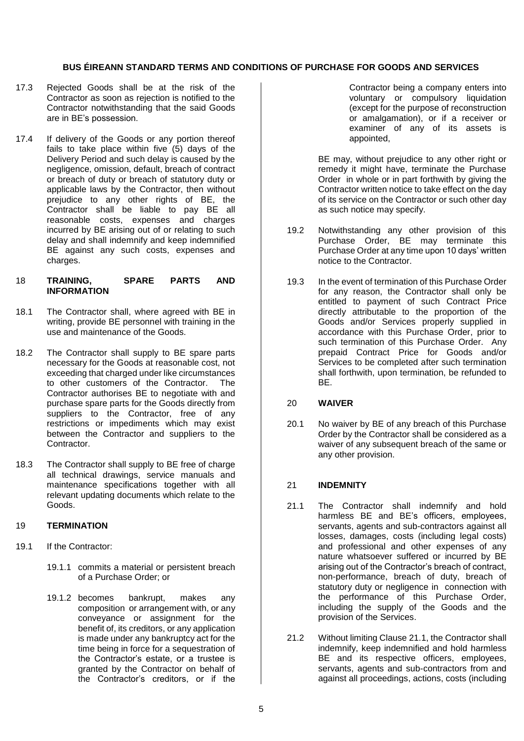- 17.3 Rejected Goods shall be at the risk of the Contractor as soon as rejection is notified to the Contractor notwithstanding that the said Goods are in BE's possession.
- 17.4 If delivery of the Goods or any portion thereof fails to take place within five  $(5)$  days of the Delivery Period and such delay is caused by the negligence, omission, default, breach of contract or breach of duty or breach of statutory duty or applicable laws by the Contractor, then without prejudice to any other rights of BE, the Contractor shall be liable to pay BE all reasonable costs, expenses and charges incurred by BE arising out of or relating to such delay and shall indemnify and keep indemnified BE against any such costs, expenses and charges.

#### 18 **TRAINING, SPARE PARTS AND INFORMATION**

- 18.1 The Contractor shall, where agreed with BE in writing, provide BE personnel with training in the use and maintenance of the Goods.
- 18.2 The Contractor shall supply to BE spare parts necessary for the Goods at reasonable cost, not exceeding that charged under like circumstances to other customers of the Contractor. The Contractor authorises BE to negotiate with and purchase spare parts for the Goods directly from suppliers to the Contractor, free of any restrictions or impediments which may exist between the Contractor and suppliers to the Contractor.
- 18.3 The Contractor shall supply to BE free of charge all technical drawings, service manuals and maintenance specifications together with all relevant updating documents which relate to the Goods.

# 19 **TERMINATION**

- 19.1 If the Contractor:
	- 19.1.1 commits a material or persistent breach of a Purchase Order; or
	- 19.1.2 becomes bankrupt, makes any composition or arrangement with, or any conveyance or assignment for the benefit of, its creditors, or any application is made under any bankruptcy act for the time being in force for a sequestration of the Contractor's estate, or a trustee is granted by the Contractor on behalf of the Contractor's creditors, or if the

Contractor being a company enters into voluntary or compulsory liquidation (except for the purpose of reconstruction or amalgamation), or if a receiver or examiner of any of its assets is appointed,

BE may, without prejudice to any other right or remedy it might have, terminate the Purchase Order in whole or in part forthwith by giving the Contractor written notice to take effect on the day of its service on the Contractor or such other day as such notice may specify.

- 19.2 Notwithstanding any other provision of this Purchase Order, BE may terminate this Purchase Order at any time upon 10 days' written notice to the Contractor.
- 19.3 In the event of termination of this Purchase Order for any reason, the Contractor shall only be entitled to payment of such Contract Price directly attributable to the proportion of the Goods and/or Services properly supplied in accordance with this Purchase Order, prior to such termination of this Purchase Order. Any prepaid Contract Price for Goods and/or Services to be completed after such termination shall forthwith, upon termination, be refunded to BE.

### 20 **WAIVER**

20.1 No waiver by BE of any breach of this Purchase Order by the Contractor shall be considered as a waiver of any subsequent breach of the same or any other provision.

# 21 **INDEMNITY**

- 21.1 The Contractor shall indemnify and hold harmless BE and BE's officers, employees, servants, agents and sub-contractors against all losses, damages, costs (including legal costs) and professional and other expenses of any nature whatsoever suffered or incurred by BE arising out of the Contractor's breach of contract, non-performance, breach of duty, breach of statutory duty or negligence in connection with the performance of this Purchase Order, including the supply of the Goods and the provision of the Services.
- 21.2 Without limiting Clause 21.1, the Contractor shall indemnify, keep indemnified and hold harmless BE and its respective officers, employees, servants, agents and sub-contractors from and against all proceedings, actions, costs (including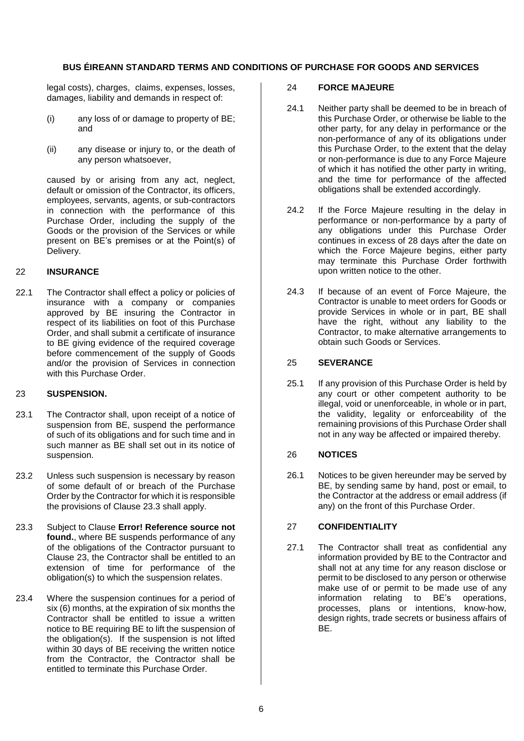legal costs), charges, claims, expenses, losses, damages, liability and demands in respect of:

- (i) any loss of or damage to property of BE; and
- (ii) any disease or injury to, or the death of any person whatsoever,

caused by or arising from any act, neglect, default or omission of the Contractor, its officers, employees, servants, agents, or sub-contractors in connection with the performance of this Purchase Order, including the supply of the Goods or the provision of the Services or while present on BE's premises or at the Point(s) of Delivery.

# 22 **INSURANCE**

22.1 The Contractor shall effect a policy or policies of insurance with a company or companies approved by BE insuring the Contractor in respect of its liabilities on foot of this Purchase Order, and shall submit a certificate of insurance to BE giving evidence of the required coverage before commencement of the supply of Goods and/or the provision of Services in connection with this Purchase Order.

# <span id="page-5-0"></span>23 **SUSPENSION.**

- 23.1 The Contractor shall, upon receipt of a notice of suspension from BE, suspend the performance of such of its obligations and for such time and in such manner as BE shall set out in its notice of suspension.
- 23.2 Unless such suspension is necessary by reason of some default of or breach of the Purchase Order by the Contractor for which it is responsible the provisions of Clause 23.3 shall apply.
- 23.3 Subject to Clause **Error! Reference source not found.**, where BE suspends performance of any of the obligations of the Contractor pursuant to Clause [23,](#page-5-0) the Contractor shall be entitled to an extension of time for performance of the obligation(s) to which the suspension relates.
- 23.4 Where the suspension continues for a period of six (6) months, at the expiration of six months the Contractor shall be entitled to issue a written notice to BE requiring BE to lift the suspension of the obligation(s). If the suspension is not lifted within 30 days of BE receiving the written notice from the Contractor, the Contractor shall be entitled to terminate this Purchase Order.

## 24 **FORCE MAJEURE**

- 24.1 Neither party shall be deemed to be in breach of this Purchase Order, or otherwise be liable to the other party, for any delay in performance or the non-performance of any of its obligations under this Purchase Order, to the extent that the delay or non-performance is due to any Force Majeure of which it has notified the other party in writing, and the time for performance of the affected obligations shall be extended accordingly.
- 24.2 If the Force Majeure resulting in the delay in performance or non-performance by a party of any obligations under this Purchase Order continues in excess of 28 days after the date on which the Force Majeure begins, either party may terminate this Purchase Order forthwith upon written notice to the other.
- 24.3 If because of an event of Force Majeure, the Contractor is unable to meet orders for Goods or provide Services in whole or in part, BE shall have the right, without any liability to the Contractor, to make alternative arrangements to obtain such Goods or Services.

## 25 **SEVERANCE**

25.1 If any provision of this Purchase Order is held by any court or other competent authority to be illegal, void or unenforceable, in whole or in part, the validity, legality or enforceability of the remaining provisions of this Purchase Order shall not in any way be affected or impaired thereby.

# 26 **NOTICES**

26.1 Notices to be given hereunder may be served by BE, by sending same by hand, post or email, to the Contractor at the address or email address (if any) on the front of this Purchase Order.

### 27 **CONFIDENTIALITY**

27.1 The Contractor shall treat as confidential any information provided by BE to the Contractor and shall not at any time for any reason disclose or permit to be disclosed to any person or otherwise make use of or permit to be made use of any information relating to BE's operations, processes, plans or intentions, know-how, design rights, trade secrets or business affairs of BE.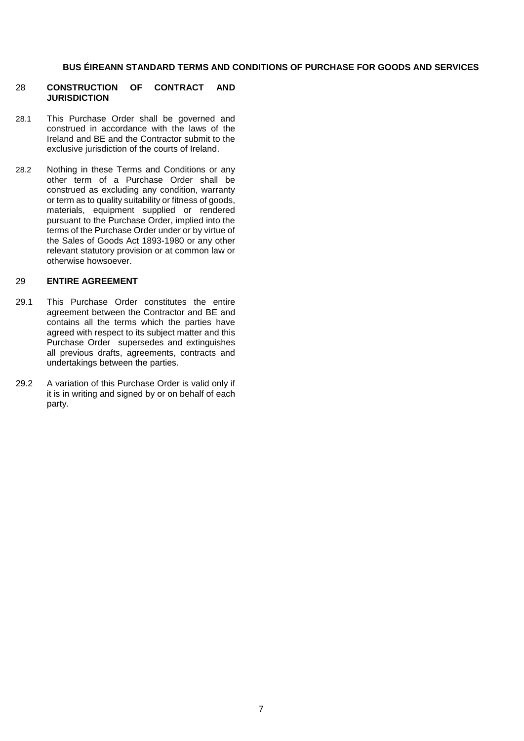#### 28 **CONSTRUCTION OF CONTRACT AND JURISDICTION**

- 28.1 This Purchase Order shall be governed and construed in accordance with the laws of the Ireland and BE and the Contractor submit to the exclusive jurisdiction of the courts of Ireland.
- 28.2 Nothing in these Terms and Conditions or any other term of a Purchase Order shall be construed as excluding any condition, warranty or term as to quality suitability or fitness of goods, materials, equipment supplied or rendered pursuant to the Purchase Order, implied into the terms of the Purchase Order under or by virtue of the Sales of Goods Act 1893-1980 or any other relevant statutory provision or at common law or otherwise howsoever.

#### 29 **ENTIRE AGREEMENT**

- 29.1 This Purchase Order constitutes the entire agreement between the Contractor and BE and contains all the terms which the parties have agreed with respect to its subject matter and this Purchase Order supersedes and extinguishes all previous drafts, agreements, contracts and undertakings between the parties.
- 29.2 A variation of this Purchase Order is valid only if it is in writing and signed by or on behalf of each party.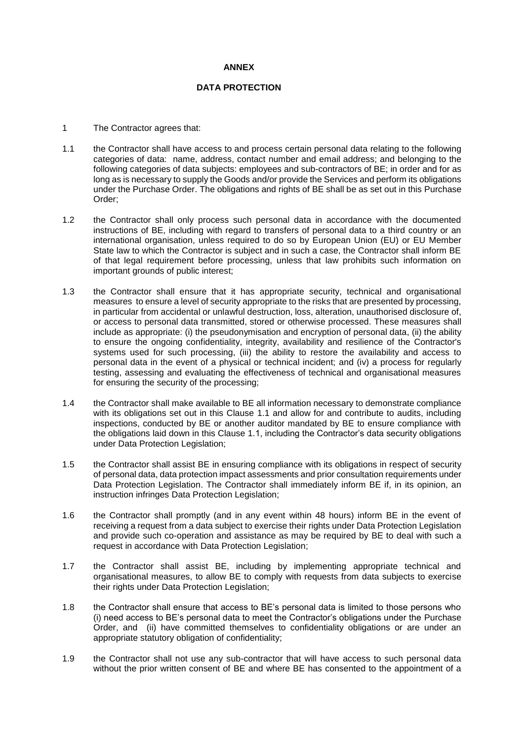#### **ANNEX**

### **DATA PROTECTION**

- 1 The Contractor agrees that:
- 1.1 the Contractor shall have access to and process certain personal data relating to the following categories of data: name, address, contact number and email address; and belonging to the following categories of data subjects: employees and sub-contractors of BE; in order and for as long as is necessary to supply the Goods and/or provide the Services and perform its obligations under the Purchase Order. The obligations and rights of BE shall be as set out in this Purchase Order;
- 1.2 the Contractor shall only process such personal data in accordance with the documented instructions of BE, including with regard to transfers of personal data to a third country or an international organisation, unless required to do so by European Union (EU) or EU Member State law to which the Contractor is subject and in such a case, the Contractor shall inform BE of that legal requirement before processing, unless that law prohibits such information on important grounds of public interest;
- 1.3 the Contractor shall ensure that it has appropriate security, technical and organisational measures to ensure a level of security appropriate to the risks that are presented by processing, in particular from accidental or unlawful destruction, loss, alteration, unauthorised disclosure of, or access to personal data transmitted, stored or otherwise processed. These measures shall include as appropriate: (i) the pseudonymisation and encryption of personal data, (ii) the ability to ensure the ongoing confidentiality, integrity, availability and resilience of the Contractor's systems used for such processing, (iii) the ability to restore the availability and access to personal data in the event of a physical or technical incident; and (iv) a process for regularly testing, assessing and evaluating the effectiveness of technical and organisational measures for ensuring the security of the processing;
- 1.4 the Contractor shall make available to BE all information necessary to demonstrate compliance with its obligations set out in this Clause 1.1 and allow for and contribute to audits, including inspections, conducted by BE or another auditor mandated by BE to ensure compliance with the obligations laid down in this Clause 1.1, including the Contractor's data security obligations under Data Protection Legislation;
- 1.5 the Contractor shall assist BE in ensuring compliance with its obligations in respect of security of personal data, data protection impact assessments and prior consultation requirements under Data Protection Legislation. The Contractor shall immediately inform BE if, in its opinion, an instruction infringes Data Protection Legislation;
- 1.6 the Contractor shall promptly (and in any event within 48 hours) inform BE in the event of receiving a request from a data subject to exercise their rights under Data Protection Legislation and provide such co-operation and assistance as may be required by BE to deal with such a request in accordance with Data Protection Legislation;
- 1.7 the Contractor shall assist BE, including by implementing appropriate technical and organisational measures, to allow BE to comply with requests from data subjects to exercise their rights under Data Protection Legislation;
- 1.8 the Contractor shall ensure that access to BE's personal data is limited to those persons who (i) need access to BE's personal data to meet the Contractor's obligations under the Purchase Order, and (ii) have committed themselves to confidentiality obligations or are under an appropriate statutory obligation of confidentiality;
- 1.9 the Contractor shall not use any sub-contractor that will have access to such personal data without the prior written consent of BE and where BE has consented to the appointment of a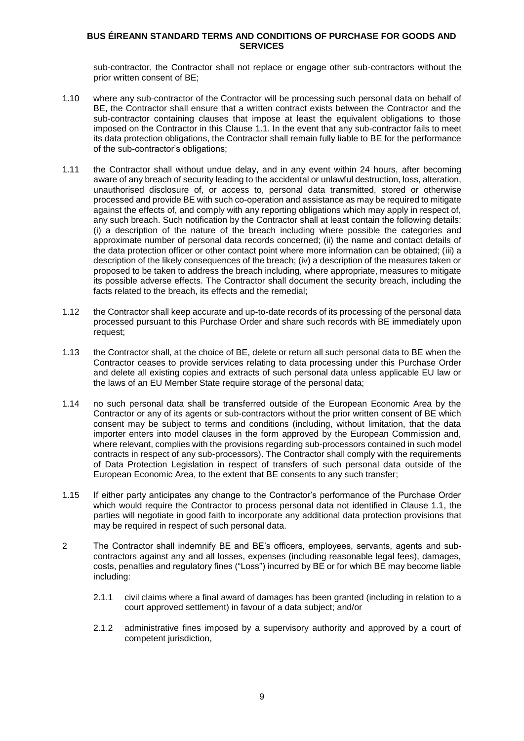sub-contractor, the Contractor shall not replace or engage other sub-contractors without the prior written consent of BE;

- 1.10 where any sub-contractor of the Contractor will be processing such personal data on behalf of BE, the Contractor shall ensure that a written contract exists between the Contractor and the sub-contractor containing clauses that impose at least the equivalent obligations to those imposed on the Contractor in this Clause 1.1. In the event that any sub-contractor fails to meet its data protection obligations, the Contractor shall remain fully liable to BE for the performance of the sub-contractor's obligations;
- 1.11 the Contractor shall without undue delay, and in any event within 24 hours, after becoming aware of any breach of security leading to the accidental or unlawful destruction, loss, alteration, unauthorised disclosure of, or access to, personal data transmitted, stored or otherwise processed and provide BE with such co-operation and assistance as may be required to mitigate against the effects of, and comply with any reporting obligations which may apply in respect of, any such breach. Such notification by the Contractor shall at least contain the following details: (i) a description of the nature of the breach including where possible the categories and approximate number of personal data records concerned; (ii) the name and contact details of the data protection officer or other contact point where more information can be obtained; (iii) a description of the likely consequences of the breach; (iv) a description of the measures taken or proposed to be taken to address the breach including, where appropriate, measures to mitigate its possible adverse effects. The Contractor shall document the security breach, including the facts related to the breach, its effects and the remedial;
- 1.12 the Contractor shall keep accurate and up-to-date records of its processing of the personal data processed pursuant to this Purchase Order and share such records with BE immediately upon request;
- 1.13 the Contractor shall, at the choice of BE, delete or return all such personal data to BE when the Contractor ceases to provide services relating to data processing under this Purchase Order and delete all existing copies and extracts of such personal data unless applicable EU law or the laws of an EU Member State require storage of the personal data;
- 1.14 no such personal data shall be transferred outside of the European Economic Area by the Contractor or any of its agents or sub-contractors without the prior written consent of BE which consent may be subject to terms and conditions (including, without limitation, that the data importer enters into model clauses in the form approved by the European Commission and, where relevant, complies with the provisions regarding sub-processors contained in such model contracts in respect of any sub-processors). The Contractor shall comply with the requirements of Data Protection Legislation in respect of transfers of such personal data outside of the European Economic Area, to the extent that BE consents to any such transfer;
- 1.15 If either party anticipates any change to the Contractor's performance of the Purchase Order which would require the Contractor to process personal data not identified in Clause 1.1, the parties will negotiate in good faith to incorporate any additional data protection provisions that may be required in respect of such personal data.
- 2 The Contractor shall indemnify BE and BE's officers, employees, servants, agents and subcontractors against any and all losses, expenses (including reasonable legal fees), damages, costs, penalties and regulatory fines ("Loss") incurred by BE or for which BE may become liable including:
	- 2.1.1 civil claims where a final award of damages has been granted (including in relation to a court approved settlement) in favour of a data subject; and/or
	- 2.1.2 administrative fines imposed by a supervisory authority and approved by a court of competent jurisdiction,